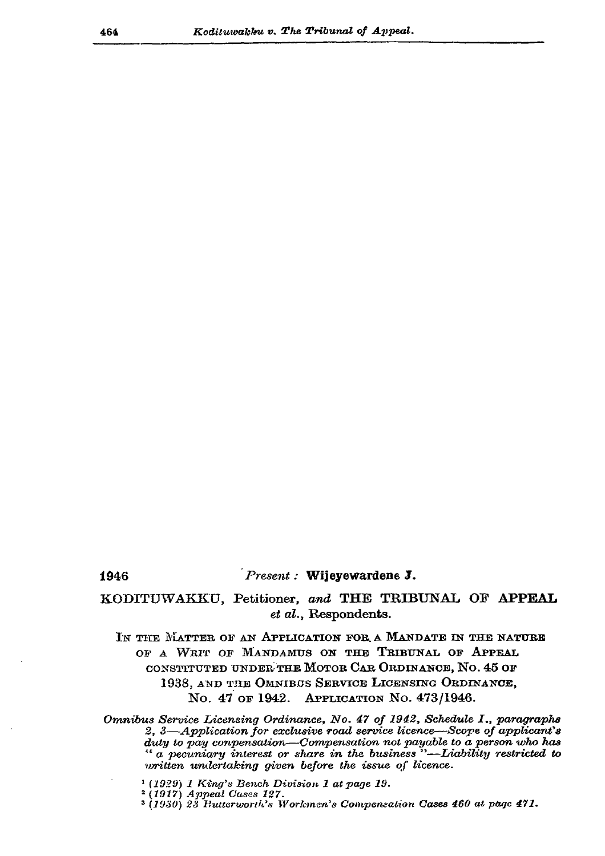## 1946

## $P$ resent : Wijeyewardene J.

## KODITUWAKKU, Petitioner, and THE TRIBUNAL OF APPEAL et al., Respondents.

IN THE MATTER OF AN APPLICATION FOR A MANDATE IN THE NATURE OF A WRIT OF MANDAMUS ON THE TRIBUNAL OF APPEAL CONSTITUTED UNDER THE MOTOR CAR ORDINANCE, NO. 45 OF 1938, AND THE OMNIBUS SERVICE LICENSING ORDINANCE, No. 47 of 1942. APPLICATION No. 473/1946.

Omnibus Service Licensing Ordinance, No. 47 of 1942, Schedule I., paragraphs 2, 3-Application for exclusive road service licence-Scope of applicant's duty to pay conpensation-Compensation not payable to a person who has " a pecuniary interest or share in the business"—Liability restricted to written undertaking given before the issue of licence.

 $(1929)$  1 King's Bench Division 1 at page 19.

 $2(1917)$  Appeal Cases 127.

<sup>3</sup> (1930) 23 Putterworth's Workmen's Compensation Cases 460 at page 471.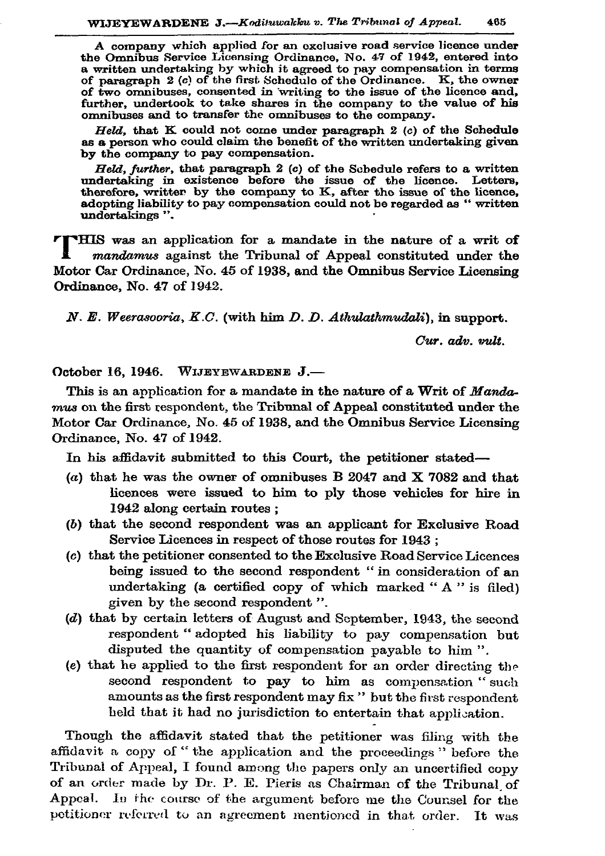A company which applied for an exclusive road service licence under<br>the Omnibus Service Licensing Ordinance, No. 47 of 1942, entered into<br>a written undertaking by which it agreed to pay compensation in terms<br>of paragraph 2 of two omnibuses, consented in writing to the issue of the licence and, further, undertook to take shares in the company to the value of his omnibuses and to transfer the omnibuses to the company.

Held, that  $K$  could not come under paragraph 2 (c) of the Schedule as a person who could claim the benefit of the written undertaking given by the company to pay compensation.

Held, further, that paragraph 2 (c) of the Schedule refers to a written undertaking in existence before the issue of the licence. Letters, therefore, writter by the company to K, after the issue of the licence, adopting liability to pay compensation could not be regarded as "written undertakings".

THIS was an application for a mandate in the nature of a writ of mandamus against the Tribunal of Appeal constituted under the Motor Car Ordinance, No. 45 of 1938, and the Omnibus Service Licensing Ordinance, No. 47 of 1942.

 $N. E. Weerasooria, K.C.$  (with him D. D. Athulathmudali), in support.

 $Cur.$   $adv.$   $mlt.$ 

October 16, 1946. WIJEYEWARDENE J.-

This is an application for a mandate in the nature of a Writ of Mandamus on the first respondent, the Tribunal of Appeal constituted under the Motor Car Ordinance, No. 45 of 1938, and the Omnibus Service Licensing Ordinance. No. 47 of 1942.

In his affidavit submitted to this Court, the petitioner stated-

- (a) that he was the owner of omnibuses B 2047 and X 7082 and that licences were issued to him to ply those vehicles for hire in 1942 along certain routes;
- (b) that the second respondent was an applicant for Exclusive Road Service Licences in respect of those routes for 1943;
- (c) that the petitioner consented to the Exclusive Road Service Licences being issued to the second respondent " in consideration of an undertaking (a certified copy of which marked "A" is filed) given by the second respondent".
- (d) that by certain letters of August and September, 1943, the second respondent "adopted his liability to pay compensation but disputed the quantity of compensation payable to him".
- (e) that he applied to the first respondent for an order directing the second respondent to pay to him as compensation "such amounts as the first respondent may fix " but the first respondent held that it had no jurisdiction to entertain that application.

Though the affidavit stated that the petitioner was filing with the affidavit a copy of "the application and the proceedings" before the Tribunal of Appeal, I found among the papers only an uncertified copy of an order made by Dr. P. E. Pieris as Chairman of the Tribunal of Appeal. In the course of the argument before me the Counsel for the petitioner referred to an agreement mentioned in that order. It was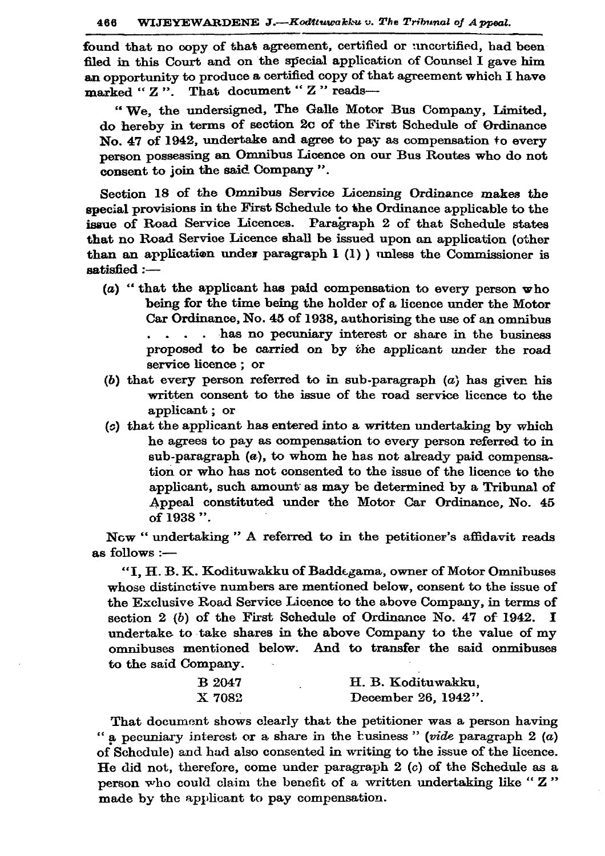found that no copy of that agreement, certified or uncertified, had been filed in this Court and on the special application of Counsel I gave him an opportunity to produce a certified copy of that agreement which I have marked "Z". That document "Z" reads-

"We, the undersigned, The Galle Motor Bus Company, Limited, do hereby in terms of section 2c of the First Schedule of Ordinance No. 47 of 1942, undertake and agree to pay as compensation to every person possessing an Omnibus Licence on our Bus Routes who do not consent to join the said Company".

Section 18 of the Omnibus Service Licensing Ordinance makes the special provisions in the First Schedule to the Ordinance applicable to the issue of Road Service Licences. Paragraph 2 of that Schedule states that no Road Service Licence shall be issued upon an application (other than an application under paragraph  $1 (1)$  ) unless the Commissioner is  $satisfied:$ 

- (a) "that the applicant has paid compensation to every person who being for the time being the holder of a licence under the Motor Car Ordinance, No. 45 of 1938, authorising the use of an omnibus ... has no pecuniary interest or share in the business proposed to be carried on by the applicant under the road service licence; or
- (b) that every person referred to in sub-paragraph  $(a)$  has given his written consent to the issue of the road service licence to the applicant; or
- (c) that the applicant has entered into a written undertaking by which he agrees to pay as compensation to every person referred to in  $sub-paragraph$  (a), to whom he has not already paid compensation or who has not consented to the issue of the licence to the applicant, such amount as may be determined by a Tribunal of Appeal constituted under the Motor Car Ordinance, No. 45 of 1938".

Now "undertaking" A referred to in the petitioner's affidavit reads as follows :-

"I, H. B. K. Kodituwakku of Baddegama, owner of Motor Omnibuses whose distinctive numbers are mentioned below, consent to the issue of the Exclusive Road Service Licence to the above Company, in terms of section 2 (b) of the First Schedule of Ordinance No. 47 of 1942. I undertake to take shares in the above Company to the value of my omnibuses mentioned below. And to transfer the said onmibuses to the said Company.

| <b>B</b> 2047 | H. B. Kodituwakku.  |
|---------------|---------------------|
| X 7082        | December 26, 1942". |

That document shows clearly that the petitioner was a person having " a pecuniary interest or a share in the business" (vide paragraph  $2(a)$ of Schedule) and had also consented in writing to the issue of the licence. He did not, therefore, come under paragraph  $2$  (c) of the Schedule as a person who could claim the benefit of a written undertaking like "Z" made by the applicant to pay compensation.